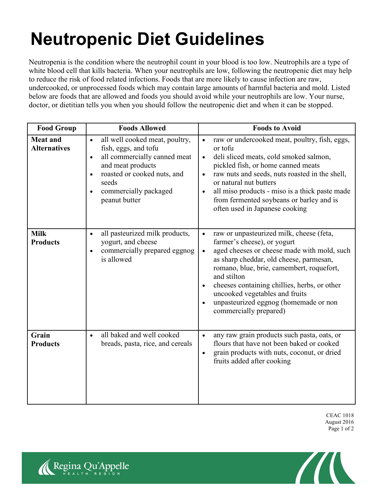## **Neutropenic Diet Guidelines**

Neutropenia is the condition where the neutrophil count in your blood is too low. Neutrophils are a type of white blood cell that kills bacteria. When your neutrophils are low, following the neutropenic diet may help to reduce the risk of food related infections. Foods that are more likely to cause infection are raw, undercooked, or unprocessed foods which may contain large amounts of harmful bacteria and mold. Listed below are foods that are allowed and foods you should avoid while your neutrophils are low. Your nurse, doctor, or dietitian tells you when you should follow the neutropenic diet and when it can be stopped.

| <b>Food Group</b>                      | <b>Foods Allowed</b>                                                                                                                                                                                                                 | <b>Foods to Avoid</b>                                                                                                                                                                                                                                                                                                                                                                                                     |
|----------------------------------------|--------------------------------------------------------------------------------------------------------------------------------------------------------------------------------------------------------------------------------------|---------------------------------------------------------------------------------------------------------------------------------------------------------------------------------------------------------------------------------------------------------------------------------------------------------------------------------------------------------------------------------------------------------------------------|
| <b>Meat and</b><br><b>Alternatives</b> | all well cooked meat, poultry,<br>$\bullet$<br>fish, eggs, and tofu<br>all commercially canned meat<br>$\bullet$<br>and meat products<br>roasted or cooked nuts, and<br>seeds<br>commercially packaged<br>$\bullet$<br>peanut butter | raw or undercooked meat, poultry, fish, eggs,<br>$\bullet$<br>or tofu<br>deli sliced meats, cold smoked salmon,<br>$\bullet$<br>pickled fish, or home canned meats<br>raw nuts and seeds, nuts roasted in the shell,<br>$\bullet$<br>or natural nut butters<br>all miso products - miso is a thick paste made<br>$\bullet$<br>from fermented soybeans or barley and is<br>often used in Japanese cooking                  |
| <b>Milk</b><br><b>Products</b>         | all pasteurized milk products,<br>$\bullet$<br>yogurt, and cheese<br>commercially prepared eggnog<br>$\bullet$<br>is allowed                                                                                                         | raw or unpasteurized milk, cheese (feta,<br>$\bullet$<br>farmer's cheese), or yogurt<br>aged cheeses or cheese made with mold, such<br>$\bullet$<br>as sharp cheddar, old cheese, parmesan,<br>romano, blue, brie, camembert, roquefort,<br>and stilton<br>cheeses containing chillies, herbs, or other<br>$\bullet$<br>uncooked vegetables and fruits<br>unpasteurized eggnog (homemade or non<br>commercially prepared) |
| Grain<br><b>Products</b>               | all baked and well cooked<br>$\bullet$<br>breads, pasta, rice, and cereals                                                                                                                                                           | any raw grain products such pasta, oats, or<br>$\bullet$<br>flours that have not been baked or cooked<br>grain products with nuts, coconut, or dried<br>$\bullet$<br>fruits added after cooking                                                                                                                                                                                                                           |

CEAC 1018 August 2016 Page 1 of 2